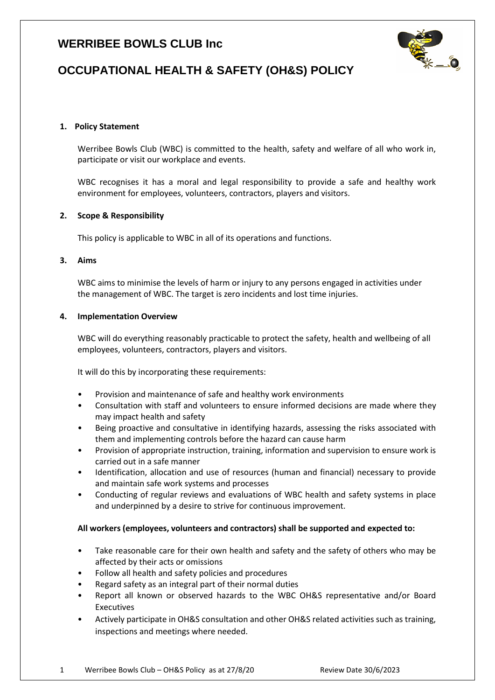## **WERRIBEE BOWLS CLUB Inc**



# **OCCUPATIONAL HEALTH & SAFETY (OH&S) POLICY**

#### **1. Policy Statement**

Werribee Bowls Club (WBC) is committed to the health, safety and welfare of all who work in, participate or visit our workplace and events.

WBC recognises it has a moral and legal responsibility to provide a safe and healthy work environment for employees, volunteers, contractors, players and visitors.

#### **2. Scope & Responsibility**

This policy is applicable to WBC in all of its operations and functions.

#### **3. Aims**

WBC aims to minimise the levels of harm or injury to any persons engaged in activities under the management of WBC. The target is zero incidents and lost time injuries.

#### **4. Implementation Overview**

WBC will do everything reasonably practicable to protect the safety, health and wellbeing of all employees, volunteers, contractors, players and visitors.

It will do this by incorporating these requirements:

- Provision and maintenance of safe and healthy work environments
- Consultation with staff and volunteers to ensure informed decisions are made where they may impact health and safety
- Being proactive and consultative in identifying hazards, assessing the risks associated with them and implementing controls before the hazard can cause harm
- Provision of appropriate instruction, training, information and supervision to ensure work is carried out in a safe manner
- Identification, allocation and use of resources (human and financial) necessary to provide and maintain safe work systems and processes
- Conducting of regular reviews and evaluations of WBC health and safety systems in place and underpinned by a desire to strive for continuous improvement.

#### **All workers (employees, volunteers and contractors) shall be supported and expected to:**

- Take reasonable care for their own health and safety and the safety of others who may be affected by their acts or omissions
- Follow all health and safety policies and procedures
- Regard safety as an integral part of their normal duties
- Report all known or observed hazards to the WBC OH&S representative and/or Board Executives
- Actively participate in OH&S consultation and other OH&S related activities such as training, inspections and meetings where needed.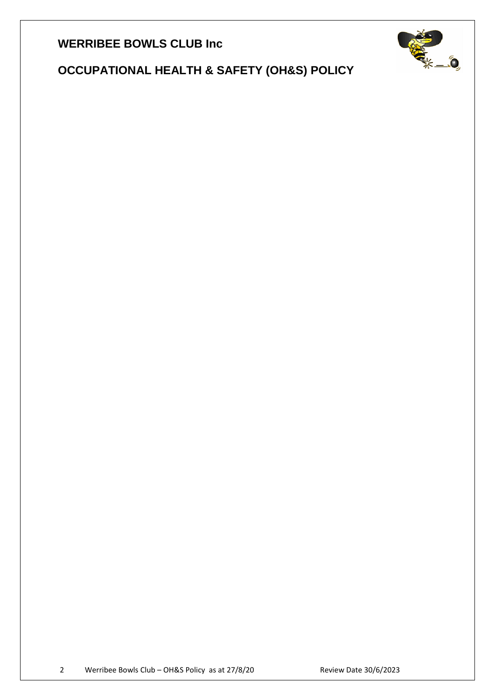**WERRIBEE BOWLS CLUB Inc**



 **OCCUPATIONAL HEALTH & SAFETY (OH&S) POLICY**